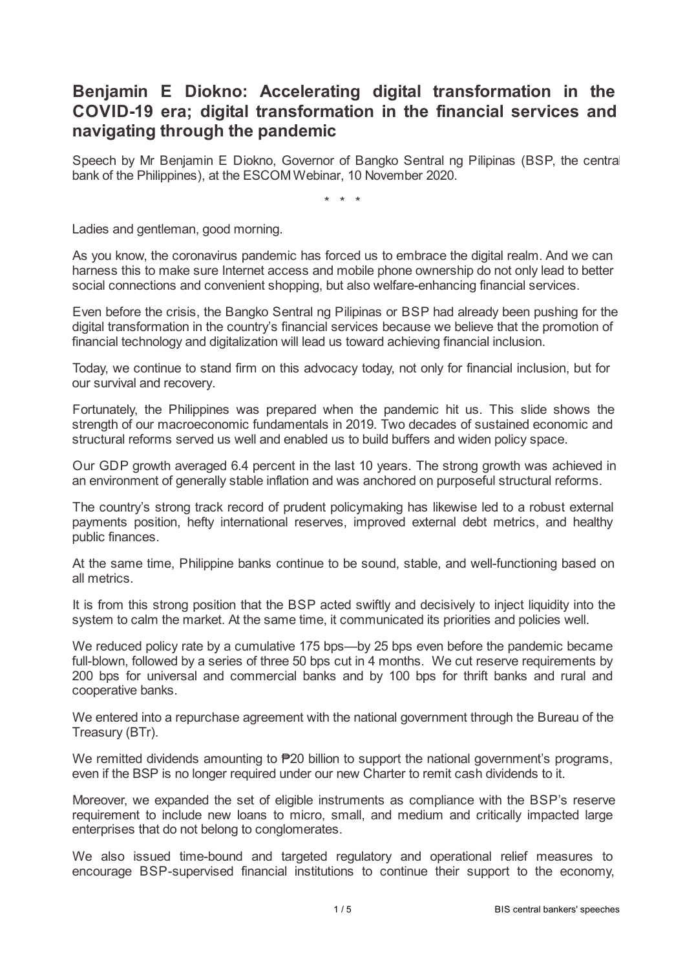## **Benjamin E Diokno: Accelerating digital transformation in the COVID-19 era; digital transformation in the financial services and navigating through the pandemic**

Speech by Mr Benjamin E Diokno, Governor of Bangko Sentral ng Pilipinas (BSP, the central bank of the Philippines), at the ESCOM Webinar, 10 November 2020.

\* \* \*

Ladies and gentleman, good morning.

As you know, the coronavirus pandemic has forced us to embrace the digital realm. And we can harness this to make sure Internet access and mobile phone ownership do not only lead to better social connections and convenient shopping, but also welfare-enhancing financial services.

Even before the crisis, the Bangko Sentral ng Pilipinas or BSP had already been pushing for the digital transformation in the country's financial services because we believe that the promotion of financial technology and digitalization will lead us toward achieving financial inclusion.

Today, we continue to stand firm on this advocacy today, not only for financial inclusion, but for our survival and recovery.

Fortunately, the Philippines was prepared when the pandemic hit us. This slide shows the strength of our macroeconomic fundamentals in 2019. Two decades of sustained economic and structural reforms served us well and enabled us to build buffers and widen policy space.

Our GDP growth averaged 6.4 percent in the last 10 years. The strong growth was achieved in an environment of generally stable inflation and was anchored on purposeful structural reforms.

The country's strong track record of prudent policymaking has likewise led to a robust external payments position, hefty international reserves, improved external debt metrics, and healthy public finances.

At the same time, Philippine banks continue to be sound, stable, and well-functioning based on all metrics.

It is from this strong position that the BSP acted swiftly and decisively to inject liquidity into the system to calm the market. At the same time, it communicated its priorities and policies well.

We reduced policy rate by a cumulative 175 bps—by 25 bps even before the pandemic became full-blown, followed by a series of three 50 bps cut in 4 months. We cut reserve requirements by 200 bps for universal and commercial banks and by 100 bps for thrift banks and rural and cooperative banks.

We entered into a repurchase agreement with the national government through the Bureau of the Treasury (BTr).

We remitted dividends amounting to **₱20** billion to support the national government's programs, even if the BSP is no longer required under our new Charter to remit cash dividends to it.

Moreover, we expanded the set of eligible instruments as compliance with the BSP's reserve requirement to include new loans to micro, small, and medium and critically impacted large enterprises that do not belong to conglomerates.

We also issued time-bound and targeted regulatory and operational relief measures to encourage BSP-supervised financial institutions to continue their support to the economy,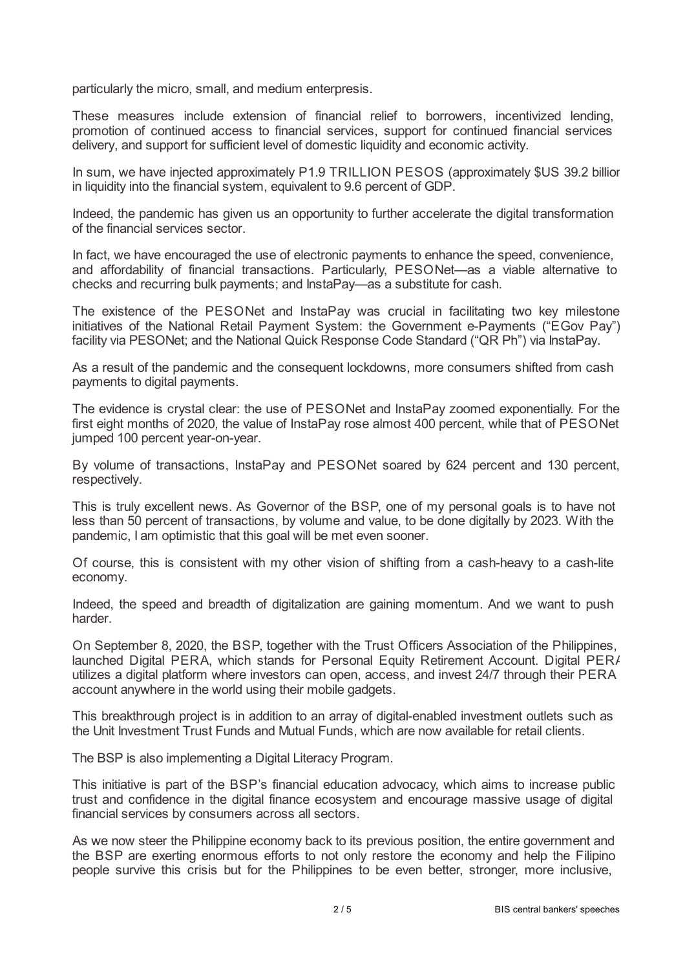particularly the micro, small, and medium enterpresis.

These measures include extension of financial relief to borrowers, incentivized lending, promotion of continued access to financial services, support for continued financial services delivery, and support for sufficient level of domestic liquidity and economic activity.

In sum, we have injected approximately P1.9 TRILLION PESOS (approximately \$US 39.2 billior in liquidity into the financial system, equivalent to 9.6 percent of GDP.

Indeed, the pandemic has given us an opportunity to further accelerate the digital transformation of the financial services sector.

In fact, we have encouraged the use of electronic payments to enhance the speed, convenience, and affordability of financial transactions. Particularly, PESONet—as a viable alternative to checks and recurring bulk payments; and InstaPay—as a substitute for cash.

The existence of the PESONet and InstaPay was crucial in facilitating two key milestone initiatives of the National Retail Payment System: the Government e-Payments ("EGov Pay") facility via PESONet; and the National Quick Response Code Standard ("QR Ph") via InstaPay.

As a result of the pandemic and the consequent lockdowns, more consumers shifted from cash payments to digital payments.

The evidence is crystal clear: the use of PESONet and InstaPay zoomed exponentially. For the first eight months of 2020, the value of InstaPay rose almost 400 percent, while that of PESONet jumped 100 percent year-on-year.

By volume of transactions, InstaPay and PESONet soared by 624 percent and 130 percent, respectively.

This is truly excellent news. As Governor of the BSP, one of my personal goals is to have not less than 50 percent of transactions, by volume and value, to be done digitally by 2023. With the pandemic, I am optimistic that this goal will be met even sooner.

Of course, this is consistent with my other vision of shifting from a cash-heavy to a cash-lite economy.

Indeed, the speed and breadth of digitalization are gaining momentum. And we want to push harder.

On September 8, 2020, the BSP, together with the Trust Officers Association of the Philippines, launched Digital PERA, which stands for Personal Equity Retirement Account. Digital PERA utilizes a digital platform where investors can open, access, and invest 24/7 through their PERA account anywhere in the world using their mobile gadgets.

This breakthrough project is in addition to an array of digital-enabled investment outlets such as the Unit Investment Trust Funds and Mutual Funds, which are now available for retail clients.

The BSP is also implementing a Digital Literacy Program.

This initiative is part of the BSP's financial education advocacy, which aims to increase public trust and confidence in the digital finance ecosystem and encourage massive usage of digital financial services by consumers across all sectors.

As we now steer the Philippine economy back to its previous position, the entire government and the BSP are exerting enormous efforts to not only restore the economy and help the Filipino people survive this crisis but for the Philippines to be even better, stronger, more inclusive,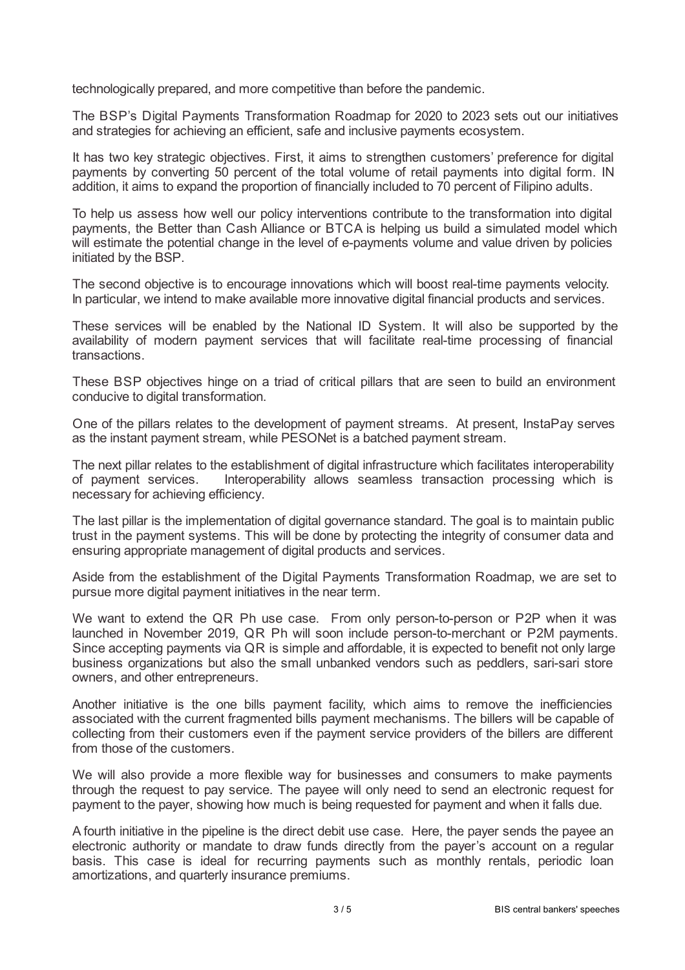technologically prepared, and more competitive than before the pandemic.

The BSP's Digital Payments Transformation Roadmap for 2020 to 2023 sets out our initiatives and strategies for achieving an efficient, safe and inclusive payments ecosystem.

It has two key strategic objectives. First, it aims to strengthen customers' preference for digital payments by converting 50 percent of the total volume of retail payments into digital form. IN addition, it aims to expand the proportion of financially included to 70 percent of Filipino adults.

To help us assess how well our policy interventions contribute to the transformation into digital payments, the Better than Cash Alliance or BTCA is helping us build a simulated model which will estimate the potential change in the level of e-payments volume and value driven by policies initiated by the BSP.

The second objective is to encourage innovations which will boost real-time payments velocity. In particular, we intend to make available more innovative digital financial products and services.

These services will be enabled by the National ID System. It will also be supported by the availability of modern payment services that will facilitate real-time processing of financial transactions.

These BSP objectives hinge on a triad of critical pillars that are seen to build an environment conducive to digital transformation.

One of the pillars relates to the development of payment streams. At present, InstaPay serves as the instant payment stream, while PESONet is a batched payment stream.

The next pillar relates to the establishment of digital infrastructure which facilitates interoperability of payment services. Interoperability allows seamless transaction processing which is necessary for achieving efficiency.

The last pillar is the implementation of digital governance standard. The goal is to maintain public trust in the payment systems. This will be done by protecting the integrity of consumer data and ensuring appropriate management of digital products and services.

Aside from the establishment of the Digital Payments Transformation Roadmap, we are set to pursue more digital payment initiatives in the near term.

We want to extend the QR Ph use case. From only person-to-person or P2P when it was launched in November 2019, QR Ph will soon include person-to-merchant or P2M payments. Since accepting payments via QR is simple and affordable, it is expected to benefit not only large business organizations but also the small unbanked vendors such as peddlers, sari-sari store owners, and other entrepreneurs.

Another initiative is the one bills payment facility, which aims to remove the inefficiencies associated with the current fragmented bills payment mechanisms. The billers will be capable of collecting from their customers even if the payment service providers of the billers are different from those of the customers.

We will also provide a more flexible way for businesses and consumers to make payments through the request to pay service. The payee will only need to send an electronic request for payment to the payer, showing how much is being requested for payment and when it falls due.

A fourth initiative in the pipeline is the direct debit use case. Here, the payer sends the payee an electronic authority or mandate to draw funds directly from the payer's account on a regular basis. This case is ideal for recurring payments such as monthly rentals, periodic loan amortizations, and quarterly insurance premiums.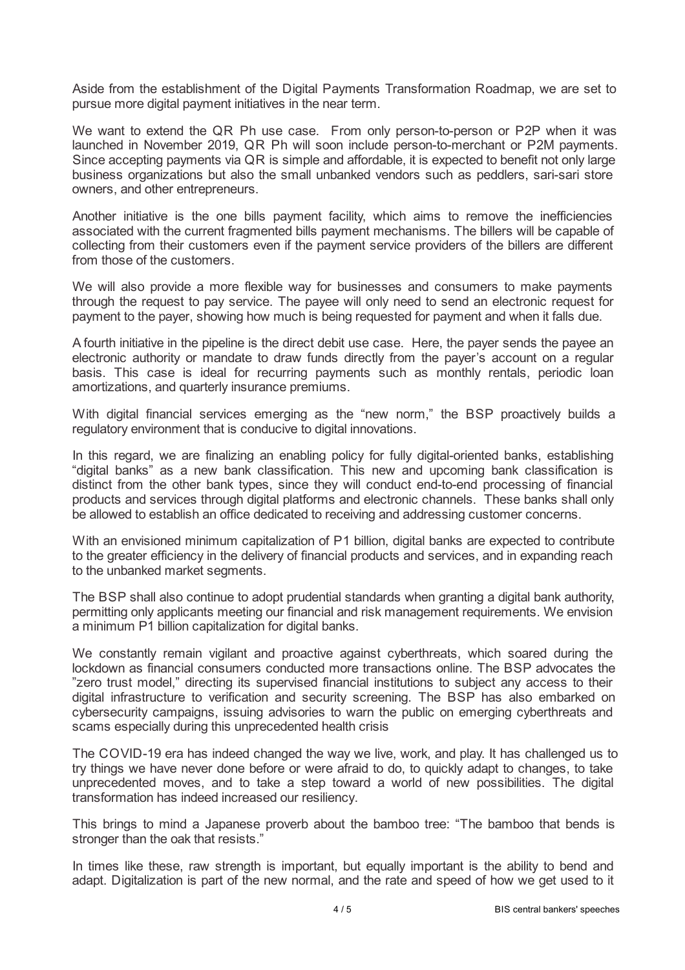Aside from the establishment of the Digital Payments Transformation Roadmap, we are set to pursue more digital payment initiatives in the near term.

We want to extend the QR Ph use case. From only person-to-person or P2P when it was launched in November 2019, QR Ph will soon include person-to-merchant or P2M payments. Since accepting payments via QR is simple and affordable, it is expected to benefit not only large business organizations but also the small unbanked vendors such as peddlers, sari-sari store owners, and other entrepreneurs.

Another initiative is the one bills payment facility, which aims to remove the inefficiencies associated with the current fragmented bills payment mechanisms. The billers will be capable of collecting from their customers even if the payment service providers of the billers are different from those of the customers.

We will also provide a more flexible way for businesses and consumers to make payments through the request to pay service. The payee will only need to send an electronic request for payment to the payer, showing how much is being requested for payment and when it falls due.

A fourth initiative in the pipeline is the direct debit use case. Here, the payer sends the payee an electronic authority or mandate to draw funds directly from the payer's account on a regular basis. This case is ideal for recurring payments such as monthly rentals, periodic loan amortizations, and quarterly insurance premiums.

With digital financial services emerging as the "new norm," the BSP proactively builds a regulatory environment that is conducive to digital innovations.

In this regard, we are finalizing an enabling policy for fully digital-oriented banks, establishing "digital banks" as a new bank classification. This new and upcoming bank classification is distinct from the other bank types, since they will conduct end-to-end processing of financial products and services through digital platforms and electronic channels. These banks shall only be allowed to establish an office dedicated to receiving and addressing customer concerns.

With an envisioned minimum capitalization of P1 billion, digital banks are expected to contribute to the greater efficiency in the delivery of financial products and services, and in expanding reach to the unbanked market segments.

The BSP shall also continue to adopt prudential standards when granting a digital bank authority, permitting only applicants meeting our financial and risk management requirements. We envision a minimum P1 billion capitalization for digital banks.

We constantly remain vigilant and proactive against cyberthreats, which soared during the lockdown as financial consumers conducted more transactions online. The BSP advocates the "zero trust model," directing its supervised financial institutions to subject any access to their digital infrastructure to verification and security screening. The BSP has also embarked on cybersecurity campaigns, issuing advisories to warn the public on emerging cyberthreats and scams especially during this unprecedented health crisis

The COVID-19 era has indeed changed the way we live, work, and play. It has challenged us to try things we have never done before or were afraid to do, to quickly adapt to changes, to take unprecedented moves, and to take a step toward a world of new possibilities. The digital transformation has indeed increased our resiliency.

This brings to mind a Japanese proverb about the bamboo tree: "The bamboo that bends is stronger than the oak that resists."

In times like these, raw strength is important, but equally important is the ability to bend and adapt. Digitalization is part of the new normal, and the rate and speed of how we get used to it